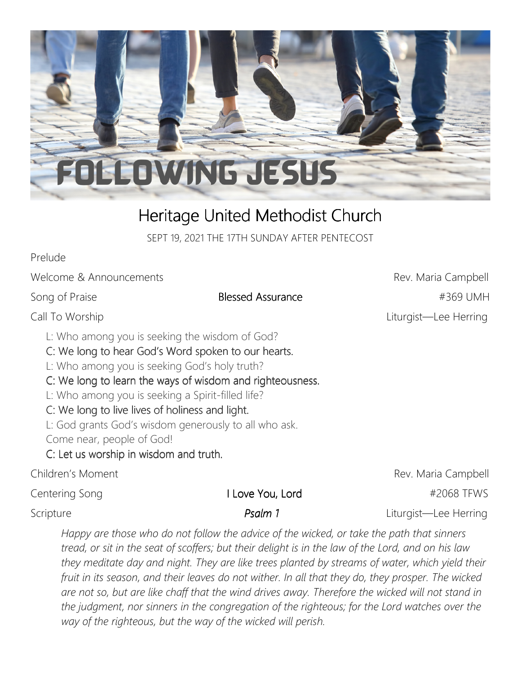

# Heritage United Methodist Church

SEPT 19, 2021 THE 17TH SUNDAY AFTER PENTECOST

Prelude

Welcome & Announcements **Rev. Maria Campbell** 

L: Who among you is seeking the wisdom of God?

C: We long to hear God's Word spoken to our hearts.

L: Who among you is seeking God's holy truth?

C: We long to learn the ways of wisdom and righteousness.

L: Who among you is seeking a Spirit-filled life?

#### C: We long to live lives of holiness and light.

L: God grants God's wisdom generously to all who ask. Come near, people of God!

C: Let us worship in wisdom and truth.

Children's Moment **Children's Moment** Children's Moment

Centering Song **I Love You, Lord I FOUL ACCOM EXAMPLE A** FEWS

Scripture *Psalm 1* **Liturgist—Lee Herring** 

*Happy are those who do not follow the advice of the wicked, or take the path that sinners tread, or sit in the seat of scoffers; but their delight is in the law of the Lord, and on his law they meditate day and night. They are like trees planted by streams of water, which yield their fruit in its season, and their leaves do not wither. In all that they do, they prosper. The wicked are not so, but are like chaff that the wind drives away. Therefore the wicked will not stand in the judgment, nor sinners in the congregation of the righteous; for the Lord watches over the way of the righteous, but the way of the wicked will perish.*

Song of Praise **Blessed Assurance Blessed Assurance Assurance Example 1988** UMH Call To Worship Liturgist—Lee Herring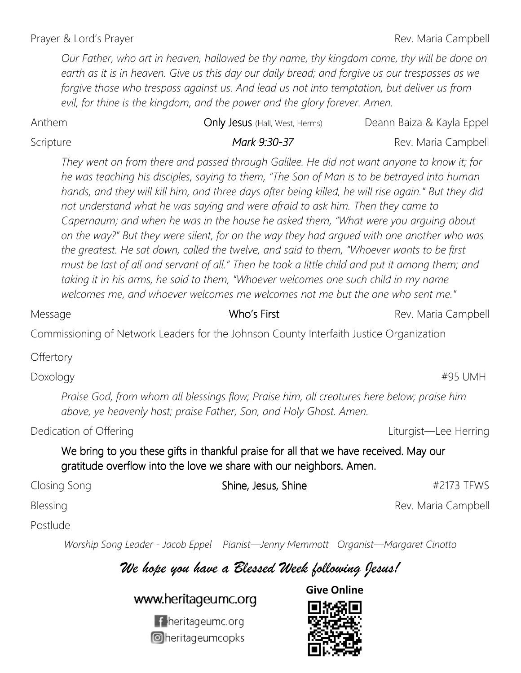Prayer & Lord's Prayer **Rev. Maria Campbell** 

*Our Father, who art in heaven, hallowed be thy name, thy kingdom come, thy will be done on earth as it is in heaven. Give us this day our daily bread; and forgive us our trespasses as we forgive those who trespass against us. And lead us not into temptation, but deliver us from*  evil, for thine is the kingdom, and the power and the glory forever. Amen.

#### Anthem **Only Jesus** (Hall, West, Herms) Deann Baiza & Kayla Eppel

#### Scripture *Mark 9:30-37* Rev. Maria Campbell

*They went on from there and passed through Galilee. He did not want anyone to know it; for he was teaching his disciples, saying to them, "The Son of Man is to be betrayed into human hands, and they will kill him, and three days after being killed, he will rise again." But they did not understand what he was saying and were afraid to ask him. Then they came to Capernaum; and when he was in the house he asked them, "What were you arguing about on the way?" But they were silent, for on the way they had argued with one another who was the greatest. He sat down, called the twelve, and said to them, "Whoever wants to be first must be last of all and servant of all." Then he took a little child and put it among them; and taking it in his arms, he said to them, "Whoever welcomes one such child in my name welcomes me, and whoever welcomes me welcomes not me but the one who sent me."* 

Commissioning of Network Leaders for the Johnson County Interfaith Justice Organization

**Offertory** 

*Praise God, from whom all blessings flow; Praise him, all creatures here below; praise him above, ye heavenly host; praise Father, Son, and Holy Ghost. Amen.* 

Dedication of Offering **Liturgist—Lee Herring** Liturgist—Lee Herring

We bring to you these gifts in thankful praise for all that we have received. May our gratitude overflow into the love we share with our neighbors. Amen.

Closing Song **Shine, Jesus, Shine Shine 19973 TEWS** Blessing **Rev. Maria Campbell** 

Postlude

*Worship Song Leader - Jacob Eppel Pianist—Jenny Memmott Organist—Margaret Cinotto* 

## *We hope you have a Blessed Week following Jesus!*

www.heritageumc.org



**Give Online** 



Doxology #95 UMH

Message **Maria Campbell Who's First** Message Rev. Maria Campbell